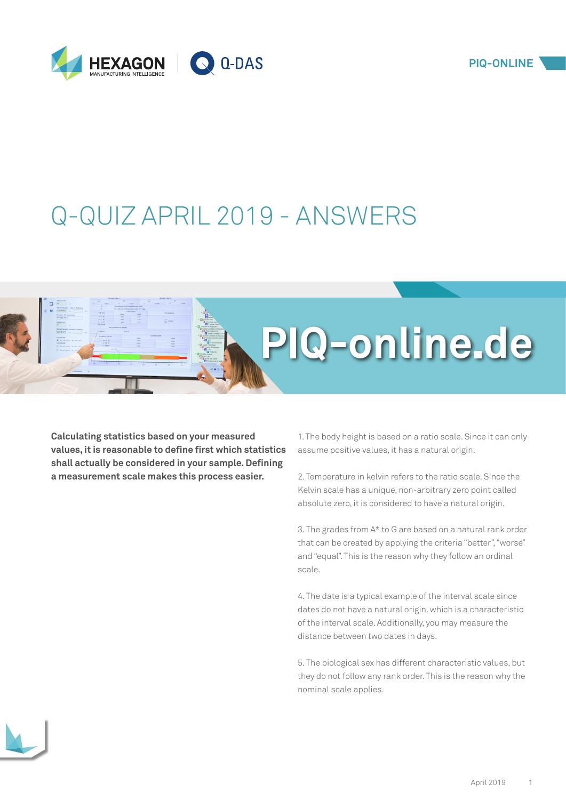

## Q-QUIZ APRIL 2019 - ANSWERS

**Calculating statistics based on your measured values, it is reasonable to define first which statistics shall actually be considered in your sample. Defining a measurement scale makes this process easier.** 

1. The body height is based on a ratio scale. Since it can only assume positive values, it has a natural origin.

PIQ-online.de

2. Temperature in kelvin refers to the ratio scale. Since the Kelvin scale has a unique, non-arbitrary zero point called absolute zero, it is considered to have a natural origin.

3. The grades from A\* to G are based on a natural rank order that can be created by applying the criteria "better", "worse" and "equal". This is the reason why they follow an ordinal scale.

4. The date is a typical example of the interval scale since dates do not have a natural origin. which is a characteristic of the interval scale. Additionally, you may measure the distance between two dates in days.

5. The biological sex has different characteristic values, but they do not follow any rank order. This is the reason why the nominal scale applies.